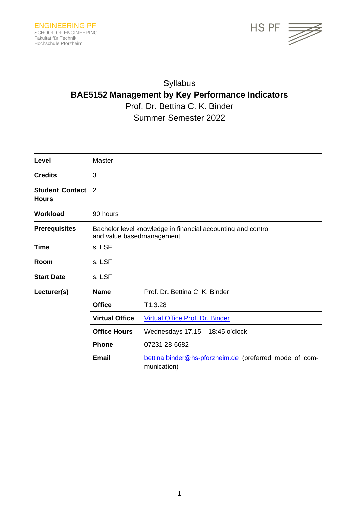

# Syllabus **BAE5152 Management by Key Performance Indicators** Prof. Dr. Bettina C. K. Binder Summer Semester 2022

| Level                                  | Master                                                                                    |                                                                       |
|----------------------------------------|-------------------------------------------------------------------------------------------|-----------------------------------------------------------------------|
| <b>Credits</b>                         | 3                                                                                         |                                                                       |
| <b>Student Contact</b><br><b>Hours</b> | $\mathcal{P}$                                                                             |                                                                       |
| <b>Workload</b>                        | 90 hours                                                                                  |                                                                       |
| <b>Prerequisites</b>                   | Bachelor level knowledge in financial accounting and control<br>and value basedmanagement |                                                                       |
| <b>Time</b>                            | s. LSF                                                                                    |                                                                       |
| Room                                   | s. LSF                                                                                    |                                                                       |
| <b>Start Date</b>                      | s. LSF                                                                                    |                                                                       |
| Lecturer(s)                            | <b>Name</b>                                                                               | Prof. Dr. Bettina C. K. Binder                                        |
|                                        | <b>Office</b>                                                                             | T1.3.28                                                               |
|                                        | <b>Virtual Office</b>                                                                     | Virtual Office Prof. Dr. Binder                                       |
|                                        | <b>Office Hours</b>                                                                       | Wednesdays 17.15 - 18:45 o'clock                                      |
|                                        | <b>Phone</b>                                                                              | 07231 28-6682                                                         |
|                                        | <b>Email</b>                                                                              | bettina.binder@hs-pforzheim.de (preferred mode of com-<br>munication) |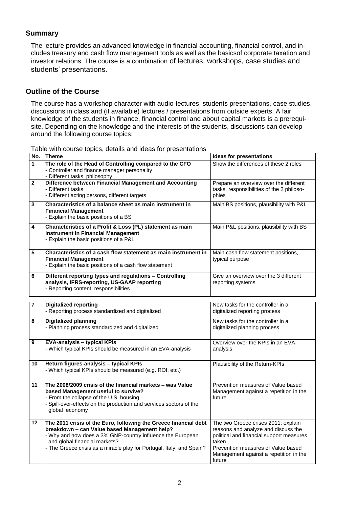#### **Summary**

The lecture provides an advanced knowledge in financial accounting, financial control, and includes treasury and cash flow management tools as well as the basicsof corporate taxation and investor relations. The course is a combination of lectures, workshops, case studies and students' presentations.

#### **Outline of the Course**

The course has a workshop character with audio-lectures, students presentations, case studies, discussions in class and (if available) lectures / presentations from outside experts. A fair knowledge of the students in finance, financial control and about capital markets is a prerequisite. Depending on the knowledge and the interests of the students, discussions can develop around the following course topics:

**No. Theme Ideas for presentations 1 The role of the Head of Controlling compared to the CFO** - Controller and finance manager personality - Different tasks, philosophy Show the differences of these 2 roles **2 Difference between Financial Management and Accounting** - Different tasks - Different acting persons, different targets Prepare an overview over the different tasks, responsibilities of the 2 philosophies **3 Characteristics of a balance sheet as main instrument in Financial Management** - Explain the basic positions of a BS Main BS positions, plausibility with P&L **4 Characteristics of a Profit & Loss (PL) statement as main instrument in Financial Management** - Explain the basic positions of a P&L Main P&L positions, plausibility with BS **5 Characteristics of a cash flow statement as main instrument in Financial Management** - Explain the basic positions of a cash flow statement Main cash flow statement positions, typical purpose **6 Different reporting types and regulations – Controlling analysis, IFRS-reporting, US-GAAP reporting** - Reporting content, responsibilities Give an overview over the 3 different reporting systems **7 Digitalized reporting** - Reporting process standardized and digitalized New tasks for the controller in a digitalized reporting process **8 Digitalized planning** - Planning process standardized and digitalized New tasks for the controller in a digitalized planning process - Which typical KPIs should be measured in an EVA-analysis Overview over the KPIs in an EVAanalysis - Which typical KPIs should be measured (e.g. ROI, etc.) Plausibility of the Return-KPIs

Table with course topics, details and ideas for presentations

| 9               | <b>EVA-analysis – typical KPIs</b><br>- Which typical KPIs should be measured in an EVA-analysis                                                                                                                                                                                         | Overview over the KPIs in an EVA-<br>analysis                                                                                                                                                                             |
|-----------------|------------------------------------------------------------------------------------------------------------------------------------------------------------------------------------------------------------------------------------------------------------------------------------------|---------------------------------------------------------------------------------------------------------------------------------------------------------------------------------------------------------------------------|
| 10              | Return figures-analysis – typical KPIs<br>- Which typical KPIs should be measured (e.g. ROI, etc.)                                                                                                                                                                                       | Plausibility of the Return-KPIs                                                                                                                                                                                           |
| 11              | The 2008/2009 crisis of the financial markets – was Value<br>based Management useful to survive?<br>- From the collapse of the U.S. housing<br>- Spill-over-effects on the production and services sectors of the<br>global economy                                                      | Prevention measures of Value based<br>Management against a repetition in the<br>future                                                                                                                                    |
| 12 <sub>2</sub> | The 2011 crisis of the Euro, following the Greece financial debt<br>breakdown - can Value based Management help?<br>- Why and how does a 3% GNP-country influence the European<br>and global financial markets?<br>- The Greece crisis as a miracle play for Portugal, Italy, and Spain? | The two Greece crises 2011; explain<br>reasons and analyze and discuss the<br>political and financial support measures<br>taken<br>Prevention measures of Value based<br>Management against a repetition in the<br>future |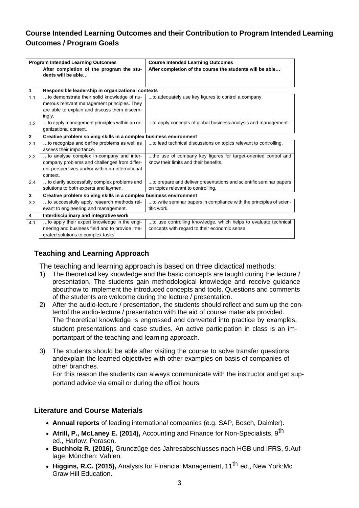# **Course Intended Learning Outcomes and their Contribution to Program Intended Learning Outcomes / Program Goals**

|                      | <b>Program Intended Learning Outcomes</b>                         | <b>Course Intended Learning Outcomes</b>                            |
|----------------------|-------------------------------------------------------------------|---------------------------------------------------------------------|
|                      | After completion of the program the stu-<br>dents will be able    | After completion of the course the students will be able            |
| $\blacktriangleleft$ | Responsible leadership in organizational contexts                 |                                                                     |
| 1.1                  | to demonstrate their solid knowledge of nu-                       | to adequately use key figures to control a company.                 |
|                      | merous relevant management principles. They                       |                                                                     |
|                      | are able to explain and discuss them discern-                     |                                                                     |
|                      | ingly.                                                            |                                                                     |
| 1.2                  | to apply management principles within an or-                      | to apply concepts of global business analysis and management.       |
|                      | ganizational context.                                             |                                                                     |
| $\overline{2}$       | Creative problem solving skills in a complex business environment |                                                                     |
| 2.1                  | to recognize and define problems as well as                       | to lead technical discussions on topics relevant to controlling.    |
|                      | assess their importance.                                          |                                                                     |
| 2.2                  | to analyse complex in-company and inter-                          | the use of company key figures for target-oriented control and      |
|                      | company problems and challenges from differ-                      | know their limits and their benefits.                               |
|                      | ent perspectives and/or within an international                   |                                                                     |
|                      | context.                                                          |                                                                     |
| 2.4                  | to clarify successfully complex problems and                      | to prepare and deliver presentations and scientific seminar papers  |
|                      | solutions to both experts and laymen.                             | on topics relevant to controlling.                                  |
| 3                    | Creative problem solving skills in a complex business environment |                                                                     |
| 3.2                  | to successfully apply research methods rel-                       | to write seminar papers in compliance with the principles of scien- |
|                      | evant to engineering and management.                              | tific work.                                                         |
| 4                    | Interdisciplinary and integrative work                            |                                                                     |
| 4.1                  | to apply their expert knowledge in the engi-                      | to use controlling knowledge, which helps to evaluate technical     |
|                      | neering and business field and to provide inte-                   | concepts with regard to their economic sense.                       |
|                      | grated solutions to complex tasks.                                |                                                                     |

## **Teaching and Learning Approach**

The teaching and learning approach is based on three didactical methods:

- 1) The theoretical key knowledge and the basic concepts are taught during the lecture / presentation. The students gain methodological knowledge and receive guidance abouthow to implement the introduced concepts and tools. Questions and comments of the students are welcome during the lecture / presentation.
- 2) After the audio-lecture / presentation, the students should reflect and sum up the contentof the audio-lecture / presentation with the aid of course materials provided. The theoretical knowledge is engrossed and converted into practice by examples, student presentations and case studies. An active participation in class is an importantpart of the teaching and learning approach.
- 3) The students should be able after visiting the course to solve transfer questions andexplain the learned objectives with other examples on basis of companies of other branches.

For this reason the students can always communicate with the instructor and get supportand advice via email or during the office hours.

#### **Literature and Course Materials**

- **Annual reports** of leading international companies (e.g. SAP, Bosch, Daimler).
- **Atrill, P., McLaney E. (2014),** Accounting and Finance for Non-Specialists, 9th ed., Harlow: Perason.
- **Buchholz R. (2016),** Grundzüge des Jahresabschlusses nach HGB und IFRS, 9.Auflage, München: Vahlen.
- **Higgins, R.C. (2015),** Analysis for Financial Management, 11th ed., New York:Mc Graw Hill Education.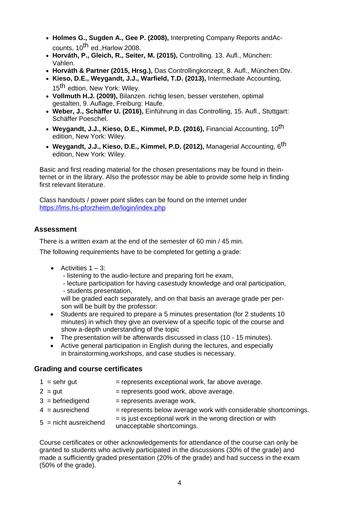- **Holmes G., Sugden A., Gee P. (2008),** Interpreting Company Reports andAccounts,  $10^{th}$  ed., Harlow 2008.
- **Horváth, P., Gleich, R., Seiter, M. (2015),** Controlling. 13. Aufl., München: Vahlen.
- **Horváth & Partner (2015, Hrsg.),** Das Controllingkonzept, 8. Aufl., München:Dtv.
- **Kieso, D.E., Weygandt, J.J., Warfield, T.D. (2013),** Intermediate Accounting, 15<sup>th</sup> edtion, New York: Wiley.
- **Vollmuth H.J. (2009),** Bilanzen. richtig lesen, besser verstehen, optimal gestalten, 9. Auflage, Freiburg: Haufe.
- **Weber, J., Schäffer U. (2016),** Einführung in das Controlling, 15. Aufl., Stuttgart: Schäffer Poeschel.
- Weygandt, J.J., Kieso, D.E., Kimmel, P.D. (2016), Financial Accounting, 10<sup>th</sup> edition, New York: Wiley.
- **Weygandt, J.J., Kieso, D.E., Kimmel, P.D. (2012),** Managerial Accounting, 6th edition, New York: Wiley.

Basic and first reading material for the chosen presentations may be found in theinternet or in the library. Also the professor may be able to provide some help in finding first relevant literature.

Class handouts / power point slides can be found on the internet under <https://lms.hs-pforzheim.de/login/index.php>

## **Assessment**

There is a written exam at the end of the semester of 60 min / 45 min.

The following requirements have to be completed for getting a grade:

- Activities  $1 3$ :
	- listening to the audio-lecture and preparing fort he exam,
	- lecture participation for having casestudy knowledge and oral participation,
	- students presentation,

will be graded each separately, and on that basis an average grade per person will be built by the professor:

- Students are required to prepare a 5 minutes presentation (for 2 students 10 minutes) in which they give an overview of a specific topic of the course and show a-depth understanding of the topic
- The presentation will be afterwards discussed in class (10 15 minutes).
- Active general participation in English during the lectures, and especially in brainstorming,workshops, and case studies is necessary.

## **Grading and course certificates**

- $1 =$  sehr gut  $=$  represents exceptional work, far above average.
	-
- 
- $2 = \text{gut}$  = represents good work, above average.
- $4 =$  ausreichend  $=$  represents below average work with considerable shortcomings.
- $3 = 6$ efriedigend  $=$  represents average work.
- 
- $5 =$  nicht ausreichend  $=$  is just exceptional work in the wrong direction or with unacceptable shortcomings.

Course certificates or other acknowledgements for attendance of the course can only be granted to students who actively participated in the discussions (30% of the grade) and made a sufficiently graded presentation (20% of the grade) and had success in the exam (50% of the grade).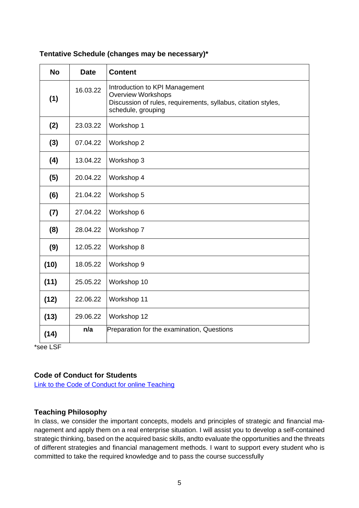| <b>No</b> | <b>Date</b> | <b>Content</b>                                                                                                                                     |
|-----------|-------------|----------------------------------------------------------------------------------------------------------------------------------------------------|
| (1)       | 16.03.22    | Introduction to KPI Management<br><b>Overview Workshops</b><br>Discussion of rules, requirements, syllabus, citation styles,<br>schedule, grouping |
| (2)       | 23.03.22    | Workshop 1                                                                                                                                         |
| (3)       | 07.04.22    | Workshop 2                                                                                                                                         |
| (4)       | 13.04.22    | Workshop 3                                                                                                                                         |
| (5)       | 20.04.22    | Workshop 4                                                                                                                                         |
| (6)       | 21.04.22    | Workshop 5                                                                                                                                         |
| (7)       | 27.04.22    | Workshop 6                                                                                                                                         |
| (8)       | 28.04.22    | Workshop 7                                                                                                                                         |
| (9)       | 12.05.22    | Workshop 8                                                                                                                                         |
| (10)      | 18.05.22    | Workshop 9                                                                                                                                         |
| (11)      | 25.05.22    | Workshop 10                                                                                                                                        |
| (12)      | 22.06.22    | Workshop 11                                                                                                                                        |
| (13)      | 29.06.22    | Workshop 12                                                                                                                                        |
| (14)      | n/a         | Preparation for the examination, Questions                                                                                                         |

## **Tentative Schedule (changes may be necessary)\***

\*see LSF

## **Code of Conduct for Students**

[Link to the Code of Conduct for online Teaching](https://e-campus.hs-pforzheim.de/business_pf/digital_learning_tools_links)

## **Teaching Philosophy**

In class, we consider the important concepts, models and principles of strategic and financial management and apply them on a real enterprise situation. I will assist you to develop a self-contained strategic thinking, based on the acquired basic skills, andto evaluate the opportunities and the threats of different strategies and financial management methods. I want to support every student who is committed to take the required knowledge and to pass the course successfully